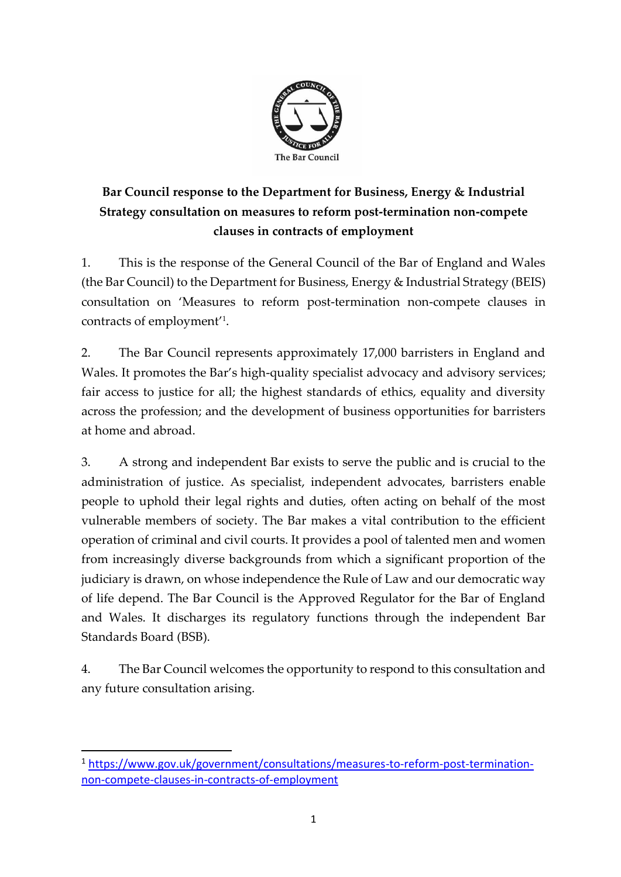

# **Bar Council response to the Department for Business, Energy & Industrial Strategy consultation on measures to reform post-termination non-compete clauses in contracts of employment**

1. This is the response of the General Council of the Bar of England and Wales (the Bar Council) to the Department for Business, Energy & Industrial Strategy (BEIS) consultation on 'Measures to reform post-termination non-compete clauses in contracts of employment' 1 .

2. The Bar Council represents approximately 17,000 barristers in England and Wales. It promotes the Bar's high-quality specialist advocacy and advisory services; fair access to justice for all; the highest standards of ethics, equality and diversity across the profession; and the development of business opportunities for barristers at home and abroad.

3. A strong and independent Bar exists to serve the public and is crucial to the administration of justice. As specialist, independent advocates, barristers enable people to uphold their legal rights and duties, often acting on behalf of the most vulnerable members of society. The Bar makes a vital contribution to the efficient operation of criminal and civil courts. It provides a pool of talented men and women from increasingly diverse backgrounds from which a significant proportion of the judiciary is drawn, on whose independence the Rule of Law and our democratic way of life depend. The Bar Council is the Approved Regulator for the Bar of England and Wales. It discharges its regulatory functions through the independent Bar Standards Board (BSB).

4. The Bar Council welcomes the opportunity to respond to this consultation and any future consultation arising.

<sup>1</sup> [https://www.gov.uk/government/consultations/measures-to-reform-post-termination](https://www.gov.uk/government/consultations/measures-to-reform-post-termination-non-compete-clauses-in-contracts-of-employment)[non-compete-clauses-in-contracts-of-employment](https://www.gov.uk/government/consultations/measures-to-reform-post-termination-non-compete-clauses-in-contracts-of-employment)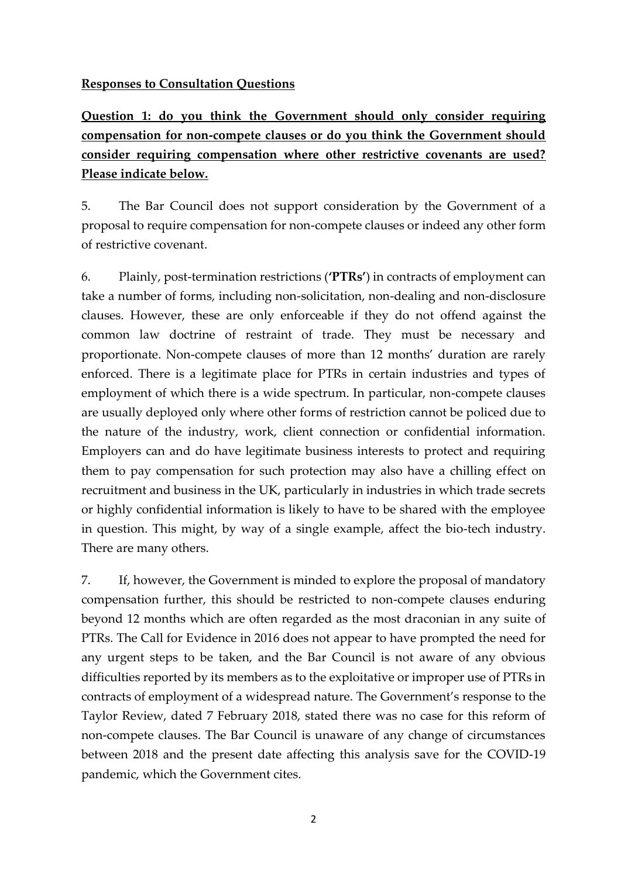#### **Responses to Consultation Questions**

**Question 1: do you think the Government should only consider requiring compensation for non-compete clauses or do you think the Government should consider requiring compensation where other restrictive covenants are used? Please indicate below.** 

5. The Bar Council does not support consideration by the Government of a proposal to require compensation for non-compete clauses or indeed any other form of restrictive covenant.

6. Plainly, post-termination restrictions (**'PTRs'**) in contracts of employment can take a number of forms, including non-solicitation, non-dealing and non-disclosure clauses. However, these are only enforceable if they do not offend against the common law doctrine of restraint of trade. They must be necessary and proportionate. Non-compete clauses of more than 12 months' duration are rarely enforced. There is a legitimate place for PTRs in certain industries and types of employment of which there is a wide spectrum. In particular, non-compete clauses are usually deployed only where other forms of restriction cannot be policed due to the nature of the industry, work, client connection or confidential information. Employers can and do have legitimate business interests to protect and requiring them to pay compensation for such protection may also have a chilling effect on recruitment and business in the UK, particularly in industries in which trade secrets or highly confidential information is likely to have to be shared with the employee in question. This might, by way of a single example, affect the bio-tech industry. There are many others.

7. If, however, the Government is minded to explore the proposal of mandatory compensation further, this should be restricted to non-compete clauses enduring beyond 12 months which are often regarded as the most draconian in any suite of PTRs. The Call for Evidence in 2016 does not appear to have prompted the need for any urgent steps to be taken, and the Bar Council is not aware of any obvious difficulties reported by its members as to the exploitative or improper use of PTRs in contracts of employment of a widespread nature. The Government's response to the Taylor Review, dated 7 February 2018, stated there was no case for this reform of non-compete clauses. The Bar Council is unaware of any change of circumstances between 2018 and the present date affecting this analysis save for the COVID-19 pandemic, which the Government cites.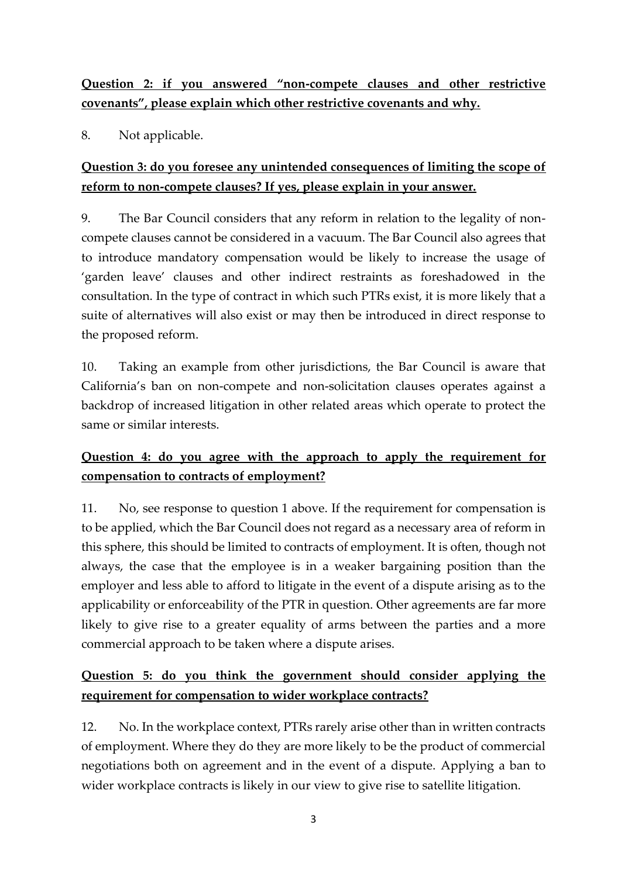**Question 2: if you answered "non-compete clauses and other restrictive covenants", please explain which other restrictive covenants and why.** 

8. Not applicable.

## **Question 3: do you foresee any unintended consequences of limiting the scope of reform to non-compete clauses? If yes, please explain in your answer.**

9. The Bar Council considers that any reform in relation to the legality of noncompete clauses cannot be considered in a vacuum. The Bar Council also agrees that to introduce mandatory compensation would be likely to increase the usage of 'garden leave' clauses and other indirect restraints as foreshadowed in the consultation. In the type of contract in which such PTRs exist, it is more likely that a suite of alternatives will also exist or may then be introduced in direct response to the proposed reform.

10. Taking an example from other jurisdictions, the Bar Council is aware that California's ban on non-compete and non-solicitation clauses operates against a backdrop of increased litigation in other related areas which operate to protect the same or similar interests.

## **Question 4: do you agree with the approach to apply the requirement for compensation to contracts of employment?**

11. No, see response to question 1 above. If the requirement for compensation is to be applied, which the Bar Council does not regard as a necessary area of reform in this sphere, this should be limited to contracts of employment. It is often, though not always, the case that the employee is in a weaker bargaining position than the employer and less able to afford to litigate in the event of a dispute arising as to the applicability or enforceability of the PTR in question. Other agreements are far more likely to give rise to a greater equality of arms between the parties and a more commercial approach to be taken where a dispute arises.

## **Question 5: do you think the government should consider applying the requirement for compensation to wider workplace contracts?**

12. No. In the workplace context, PTRs rarely arise other than in written contracts of employment. Where they do they are more likely to be the product of commercial negotiations both on agreement and in the event of a dispute. Applying a ban to wider workplace contracts is likely in our view to give rise to satellite litigation.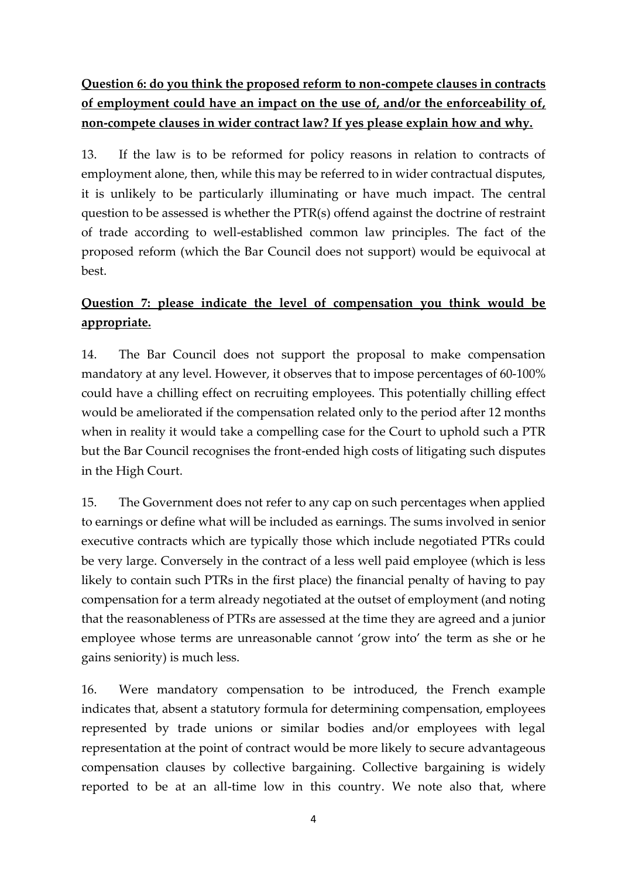**Question 6: do you think the proposed reform to non-compete clauses in contracts of employment could have an impact on the use of, and/or the enforceability of, non-compete clauses in wider contract law? If yes please explain how and why.** 

13. If the law is to be reformed for policy reasons in relation to contracts of employment alone, then, while this may be referred to in wider contractual disputes, it is unlikely to be particularly illuminating or have much impact. The central question to be assessed is whether the PTR(s) offend against the doctrine of restraint of trade according to well-established common law principles. The fact of the proposed reform (which the Bar Council does not support) would be equivocal at best.

## **Question 7: please indicate the level of compensation you think would be appropriate.**

14. The Bar Council does not support the proposal to make compensation mandatory at any level. However, it observes that to impose percentages of 60-100% could have a chilling effect on recruiting employees. This potentially chilling effect would be ameliorated if the compensation related only to the period after 12 months when in reality it would take a compelling case for the Court to uphold such a PTR but the Bar Council recognises the front-ended high costs of litigating such disputes in the High Court.

15. The Government does not refer to any cap on such percentages when applied to earnings or define what will be included as earnings. The sums involved in senior executive contracts which are typically those which include negotiated PTRs could be very large. Conversely in the contract of a less well paid employee (which is less likely to contain such PTRs in the first place) the financial penalty of having to pay compensation for a term already negotiated at the outset of employment (and noting that the reasonableness of PTRs are assessed at the time they are agreed and a junior employee whose terms are unreasonable cannot 'grow into' the term as she or he gains seniority) is much less.

16. Were mandatory compensation to be introduced, the French example indicates that, absent a statutory formula for determining compensation, employees represented by trade unions or similar bodies and/or employees with legal representation at the point of contract would be more likely to secure advantageous compensation clauses by collective bargaining. Collective bargaining is widely reported to be at an all-time low in this country. We note also that, where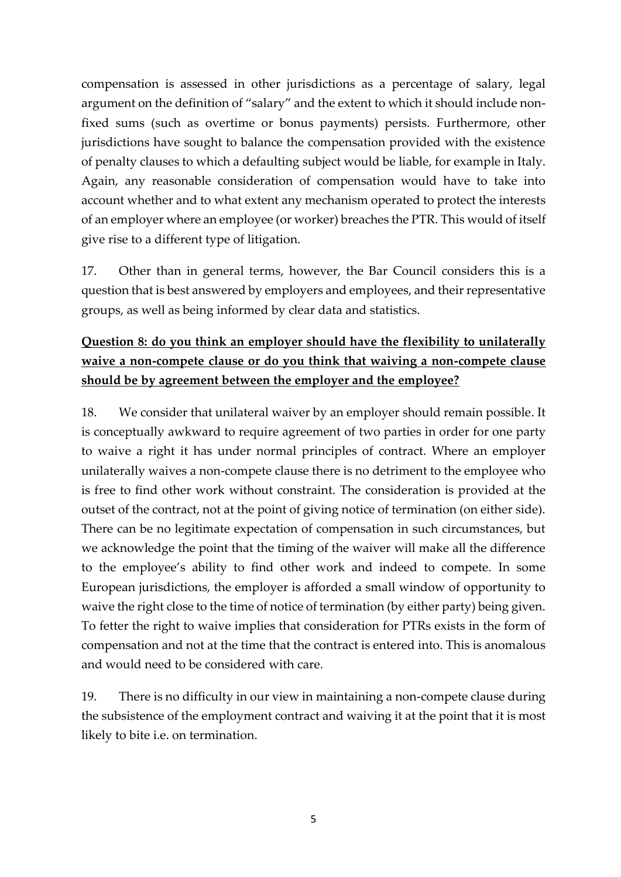compensation is assessed in other jurisdictions as a percentage of salary, legal argument on the definition of "salary" and the extent to which it should include nonfixed sums (such as overtime or bonus payments) persists. Furthermore, other jurisdictions have sought to balance the compensation provided with the existence of penalty clauses to which a defaulting subject would be liable, for example in Italy. Again, any reasonable consideration of compensation would have to take into account whether and to what extent any mechanism operated to protect the interests of an employer where an employee (or worker) breaches the PTR. This would of itself give rise to a different type of litigation.

17. Other than in general terms, however, the Bar Council considers this is a question that is best answered by employers and employees, and their representative groups, as well as being informed by clear data and statistics.

# **Question 8: do you think an employer should have the flexibility to unilaterally waive a non-compete clause or do you think that waiving a non-compete clause should be by agreement between the employer and the employee?**

18. We consider that unilateral waiver by an employer should remain possible. It is conceptually awkward to require agreement of two parties in order for one party to waive a right it has under normal principles of contract. Where an employer unilaterally waives a non-compete clause there is no detriment to the employee who is free to find other work without constraint. The consideration is provided at the outset of the contract, not at the point of giving notice of termination (on either side). There can be no legitimate expectation of compensation in such circumstances, but we acknowledge the point that the timing of the waiver will make all the difference to the employee's ability to find other work and indeed to compete. In some European jurisdictions, the employer is afforded a small window of opportunity to waive the right close to the time of notice of termination (by either party) being given. To fetter the right to waive implies that consideration for PTRs exists in the form of compensation and not at the time that the contract is entered into. This is anomalous and would need to be considered with care.

19. There is no difficulty in our view in maintaining a non-compete clause during the subsistence of the employment contract and waiving it at the point that it is most likely to bite i.e. on termination.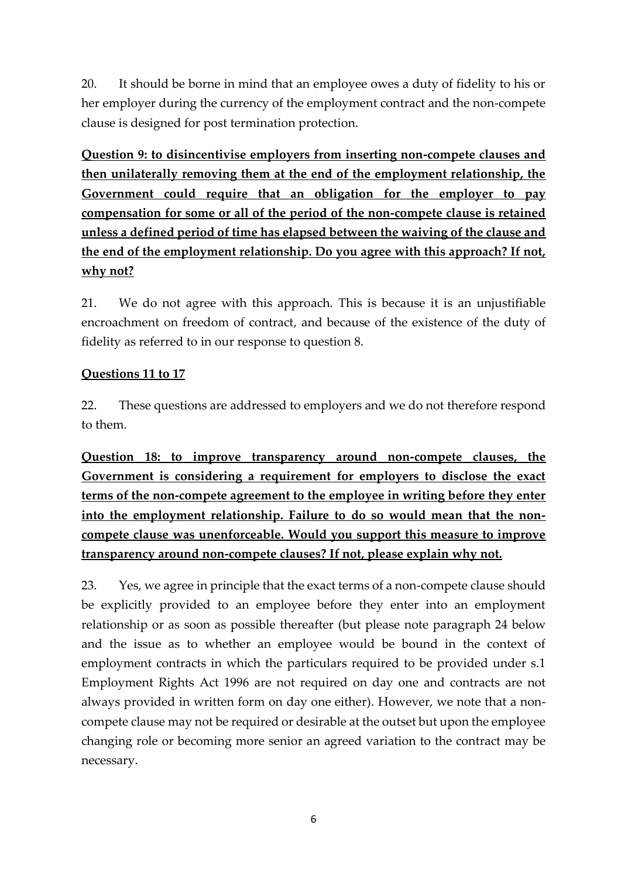20. It should be borne in mind that an employee owes a duty of fidelity to his or her employer during the currency of the employment contract and the non-compete clause is designed for post termination protection.

**Question 9: to disincentivise employers from inserting non-compete clauses and then unilaterally removing them at the end of the employment relationship, the Government could require that an obligation for the employer to pay compensation for some or all of the period of the non-compete clause is retained unless a defined period of time has elapsed between the waiving of the clause and the end of the employment relationship. Do you agree with this approach? If not, why not?** 

21. We do not agree with this approach. This is because it is an unjustifiable encroachment on freedom of contract, and because of the existence of the duty of fidelity as referred to in our response to question 8.

#### **Questions 11 to 17**

22. These questions are addressed to employers and we do not therefore respond to them.

**Question 18: to improve transparency around non-compete clauses, the Government is considering a requirement for employers to disclose the exact terms of the non-compete agreement to the employee in writing before they enter into the employment relationship. Failure to do so would mean that the noncompete clause was unenforceable. Would you support this measure to improve transparency around non-compete clauses? If not, please explain why not.** 

23. Yes, we agree in principle that the exact terms of a non-compete clause should be explicitly provided to an employee before they enter into an employment relationship or as soon as possible thereafter (but please note paragraph 24 below and the issue as to whether an employee would be bound in the context of employment contracts in which the particulars required to be provided under s.1 Employment Rights Act 1996 are not required on day one and contracts are not always provided in written form on day one either). However, we note that a noncompete clause may not be required or desirable at the outset but upon the employee changing role or becoming more senior an agreed variation to the contract may be necessary.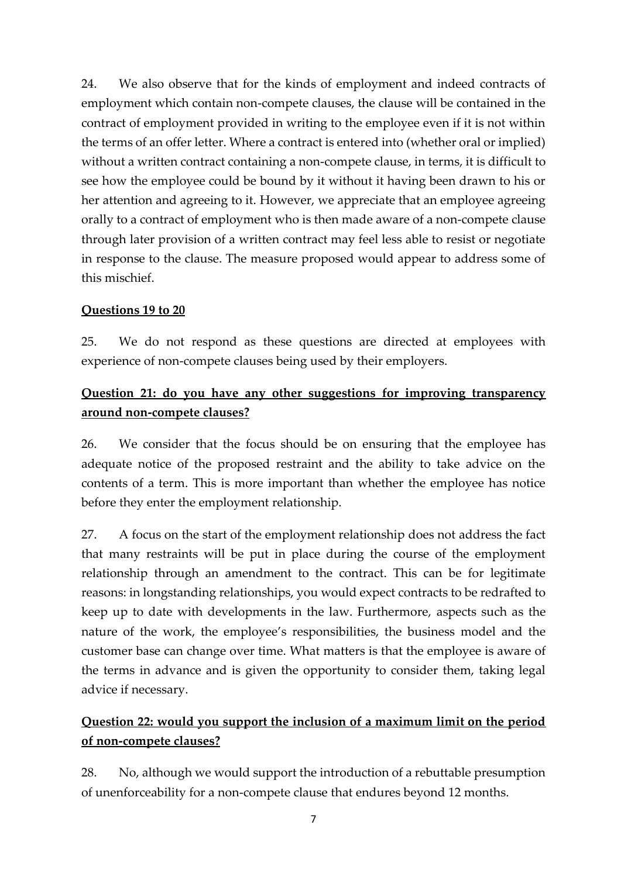24. We also observe that for the kinds of employment and indeed contracts of employment which contain non-compete clauses, the clause will be contained in the contract of employment provided in writing to the employee even if it is not within the terms of an offer letter. Where a contract is entered into (whether oral or implied) without a written contract containing a non-compete clause, in terms, it is difficult to see how the employee could be bound by it without it having been drawn to his or her attention and agreeing to it. However, we appreciate that an employee agreeing orally to a contract of employment who is then made aware of a non-compete clause through later provision of a written contract may feel less able to resist or negotiate in response to the clause. The measure proposed would appear to address some of this mischief.

#### **Questions 19 to 20**

25. We do not respond as these questions are directed at employees with experience of non-compete clauses being used by their employers.

#### **Question 21: do you have any other suggestions for improving transparency around non-compete clauses?**

26. We consider that the focus should be on ensuring that the employee has adequate notice of the proposed restraint and the ability to take advice on the contents of a term. This is more important than whether the employee has notice before they enter the employment relationship.

27. A focus on the start of the employment relationship does not address the fact that many restraints will be put in place during the course of the employment relationship through an amendment to the contract. This can be for legitimate reasons: in longstanding relationships, you would expect contracts to be redrafted to keep up to date with developments in the law. Furthermore, aspects such as the nature of the work, the employee's responsibilities, the business model and the customer base can change over time. What matters is that the employee is aware of the terms in advance and is given the opportunity to consider them, taking legal advice if necessary.

## **Question 22: would you support the inclusion of a maximum limit on the period of non-compete clauses?**

28. No, although we would support the introduction of a rebuttable presumption of unenforceability for a non-compete clause that endures beyond 12 months.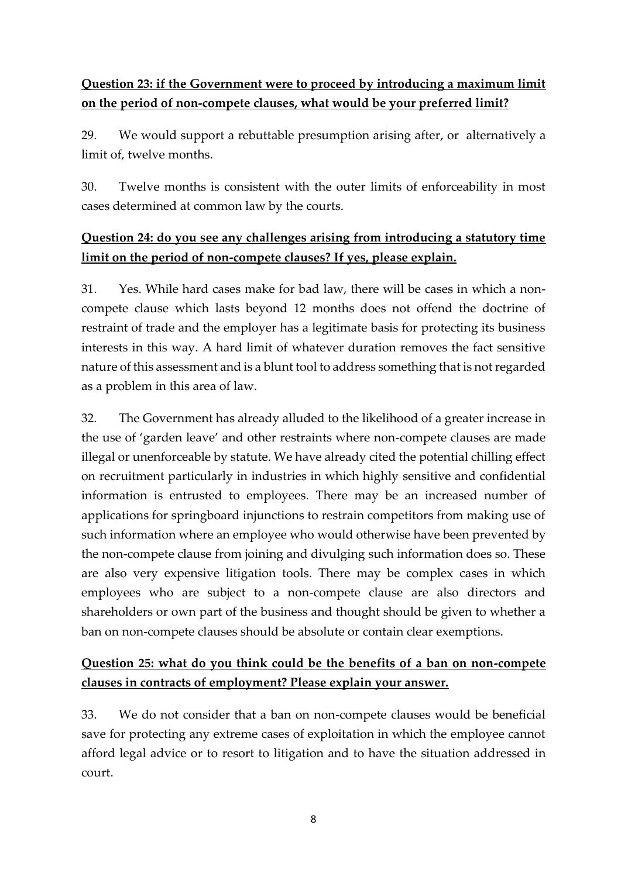## **Question 23: if the Government were to proceed by introducing a maximum limit on the period of non-compete clauses, what would be your preferred limit?**

29. We would support a rebuttable presumption arising after, or alternatively a limit of, twelve months.

30. Twelve months is consistent with the outer limits of enforceability in most cases determined at common law by the courts.

#### **Question 24: do you see any challenges arising from introducing a statutory time limit on the period of non-compete clauses? If yes, please explain.**

31. Yes. While hard cases make for bad law, there will be cases in which a noncompete clause which lasts beyond 12 months does not offend the doctrine of restraint of trade and the employer has a legitimate basis for protecting its business interests in this way. A hard limit of whatever duration removes the fact sensitive nature of this assessment and is a blunt tool to address something that is not regarded as a problem in this area of law.

32. The Government has already alluded to the likelihood of a greater increase in the use of 'garden leave' and other restraints where non-compete clauses are made illegal or unenforceable by statute. We have already cited the potential chilling effect on recruitment particularly in industries in which highly sensitive and confidential information is entrusted to employees. There may be an increased number of applications for springboard injunctions to restrain competitors from making use of such information where an employee who would otherwise have been prevented by the non-compete clause from joining and divulging such information does so. These are also very expensive litigation tools. There may be complex cases in which employees who are subject to a non-compete clause are also directors and shareholders or own part of the business and thought should be given to whether a ban on non-compete clauses should be absolute or contain clear exemptions.

## **Question 25: what do you think could be the benefits of a ban on non-compete clauses in contracts of employment? Please explain your answer.**

33. We do not consider that a ban on non-compete clauses would be beneficial save for protecting any extreme cases of exploitation in which the employee cannot afford legal advice or to resort to litigation and to have the situation addressed in court.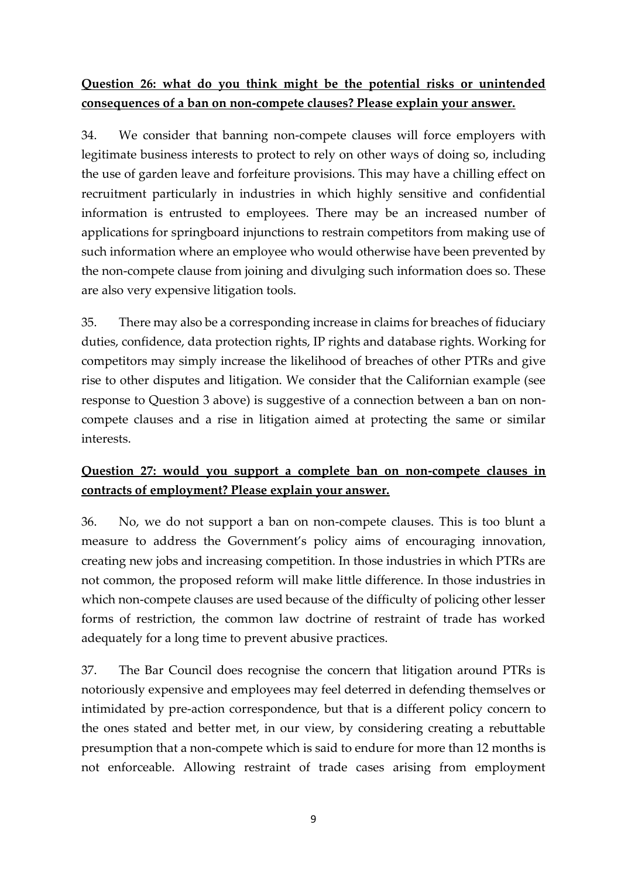## **Question 26: what do you think might be the potential risks or unintended consequences of a ban on non-compete clauses? Please explain your answer.**

34. We consider that banning non-compete clauses will force employers with legitimate business interests to protect to rely on other ways of doing so, including the use of garden leave and forfeiture provisions. This may have a chilling effect on recruitment particularly in industries in which highly sensitive and confidential information is entrusted to employees. There may be an increased number of applications for springboard injunctions to restrain competitors from making use of such information where an employee who would otherwise have been prevented by the non-compete clause from joining and divulging such information does so. These are also very expensive litigation tools.

35. There may also be a corresponding increase in claims for breaches of fiduciary duties, confidence, data protection rights, IP rights and database rights. Working for competitors may simply increase the likelihood of breaches of other PTRs and give rise to other disputes and litigation. We consider that the Californian example (see response to Question 3 above) is suggestive of a connection between a ban on noncompete clauses and a rise in litigation aimed at protecting the same or similar interests.

## **Question 27: would you support a complete ban on non-compete clauses in contracts of employment? Please explain your answer.**

36. No, we do not support a ban on non-compete clauses. This is too blunt a measure to address the Government's policy aims of encouraging innovation, creating new jobs and increasing competition. In those industries in which PTRs are not common, the proposed reform will make little difference. In those industries in which non-compete clauses are used because of the difficulty of policing other lesser forms of restriction, the common law doctrine of restraint of trade has worked adequately for a long time to prevent abusive practices.

37. The Bar Council does recognise the concern that litigation around PTRs is notoriously expensive and employees may feel deterred in defending themselves or intimidated by pre-action correspondence, but that is a different policy concern to the ones stated and better met, in our view, by considering creating a rebuttable presumption that a non-compete which is said to endure for more than 12 months is not enforceable. Allowing restraint of trade cases arising from employment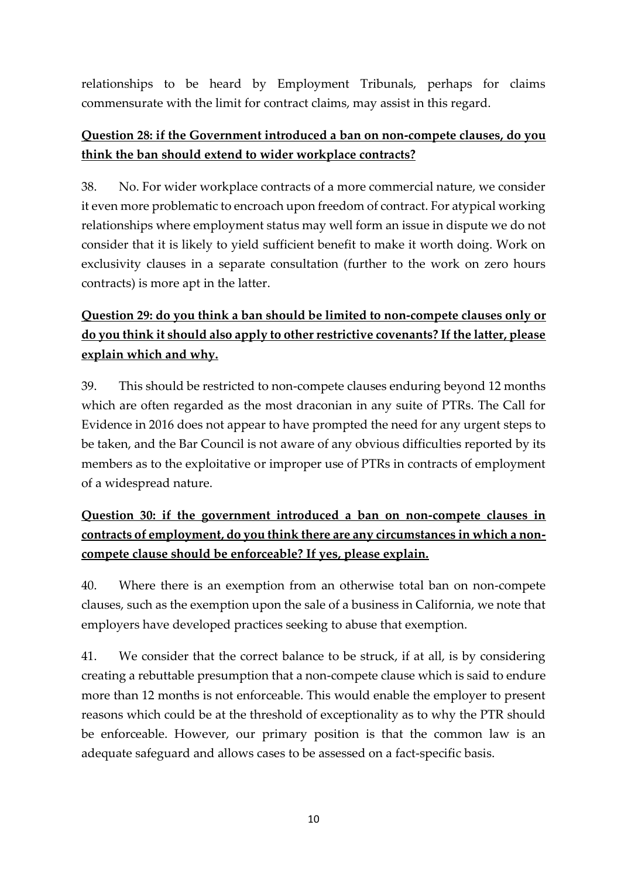relationships to be heard by Employment Tribunals, perhaps for claims commensurate with the limit for contract claims, may assist in this regard.

#### **Question 28: if the Government introduced a ban on non-compete clauses, do you think the ban should extend to wider workplace contracts?**

38. No. For wider workplace contracts of a more commercial nature, we consider it even more problematic to encroach upon freedom of contract. For atypical working relationships where employment status may well form an issue in dispute we do not consider that it is likely to yield sufficient benefit to make it worth doing. Work on exclusivity clauses in a separate consultation (further to the work on zero hours contracts) is more apt in the latter.

# **Question 29: do you think a ban should be limited to non-compete clauses only or do you think it should also apply to other restrictive covenants? If the latter, please explain which and why.**

39. This should be restricted to non-compete clauses enduring beyond 12 months which are often regarded as the most draconian in any suite of PTRs. The Call for Evidence in 2016 does not appear to have prompted the need for any urgent steps to be taken, and the Bar Council is not aware of any obvious difficulties reported by its members as to the exploitative or improper use of PTRs in contracts of employment of a widespread nature.

# **Question 30: if the government introduced a ban on non-compete clauses in contracts of employment, do you think there are any circumstances in which a noncompete clause should be enforceable? If yes, please explain.**

40. Where there is an exemption from an otherwise total ban on non-compete clauses, such as the exemption upon the sale of a business in California, we note that employers have developed practices seeking to abuse that exemption.

41. We consider that the correct balance to be struck, if at all, is by considering creating a rebuttable presumption that a non-compete clause which is said to endure more than 12 months is not enforceable. This would enable the employer to present reasons which could be at the threshold of exceptionality as to why the PTR should be enforceable. However, our primary position is that the common law is an adequate safeguard and allows cases to be assessed on a fact-specific basis.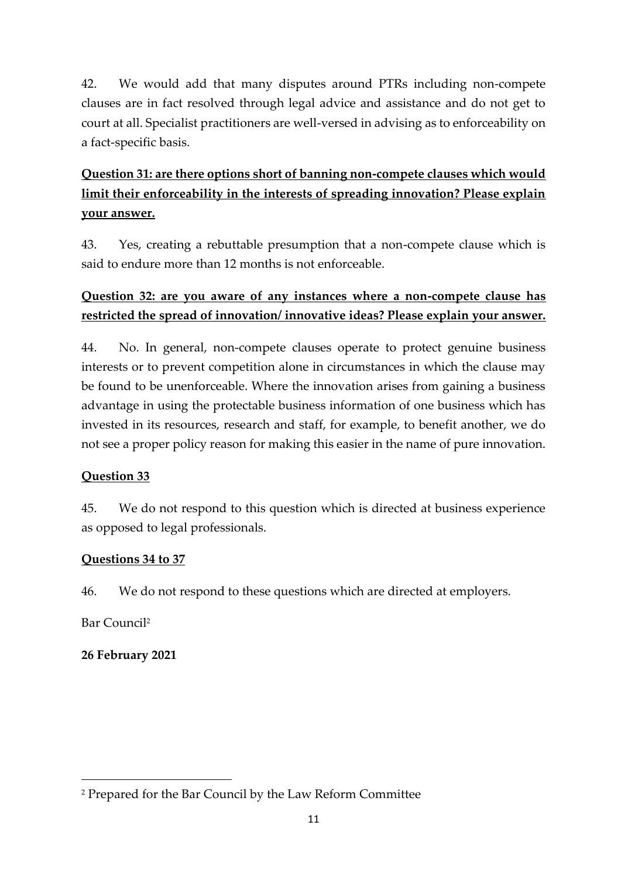42. We would add that many disputes around PTRs including non-compete clauses are in fact resolved through legal advice and assistance and do not get to court at all. Specialist practitioners are well-versed in advising as to enforceability on a fact-specific basis.

# **Question 31: are there options short of banning non-compete clauses which would limit their enforceability in the interests of spreading innovation? Please explain your answer.**

43. Yes, creating a rebuttable presumption that a non-compete clause which is said to endure more than 12 months is not enforceable.

#### **Question 32: are you aware of any instances where a non-compete clause has restricted the spread of innovation/ innovative ideas? Please explain your answer.**

44. No. In general, non-compete clauses operate to protect genuine business interests or to prevent competition alone in circumstances in which the clause may be found to be unenforceable. Where the innovation arises from gaining a business advantage in using the protectable business information of one business which has invested in its resources, research and staff, for example, to benefit another, we do not see a proper policy reason for making this easier in the name of pure innovation.

#### **Question 33**

45. We do not respond to this question which is directed at business experience as opposed to legal professionals.

#### **Questions 34 to 37**

46. We do not respond to these questions which are directed at employers.

Bar Council<sup>2</sup>

**26 February 2021**

<sup>2</sup> Prepared for the Bar Council by the Law Reform Committee